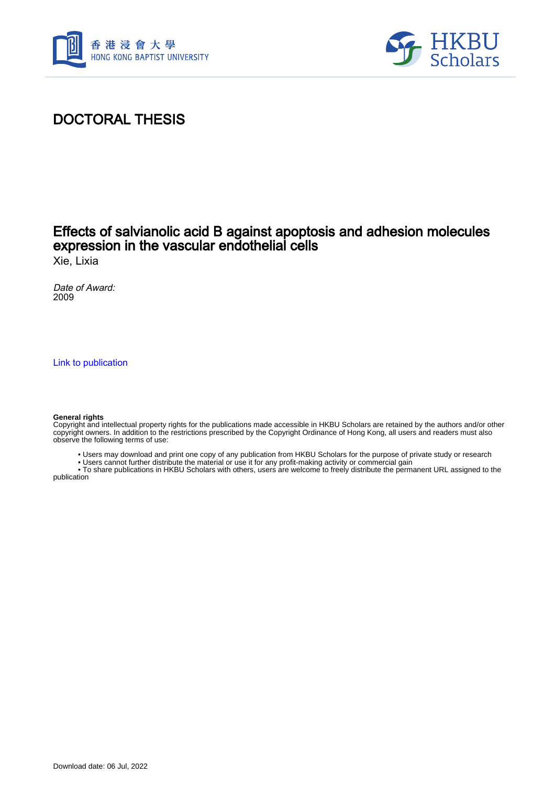



# DOCTORAL THESIS

### Effects of salvianolic acid B against apoptosis and adhesion molecules expression in the vascular endothelial cells

Xie, Lixia

Date of Award: 2009

[Link to publication](https://scholars.hkbu.edu.hk/en/studentTheses/b8e6fcfd-1e41-41b5-b4f0-eb9de7d77942)

#### **General rights**

Copyright and intellectual property rights for the publications made accessible in HKBU Scholars are retained by the authors and/or other copyright owners. In addition to the restrictions prescribed by the Copyright Ordinance of Hong Kong, all users and readers must also observe the following terms of use:

- Users may download and print one copy of any publication from HKBU Scholars for the purpose of private study or research
- Users cannot further distribute the material or use it for any profit-making activity or commercial gain

 • To share publications in HKBU Scholars with others, users are welcome to freely distribute the permanent URL assigned to the publication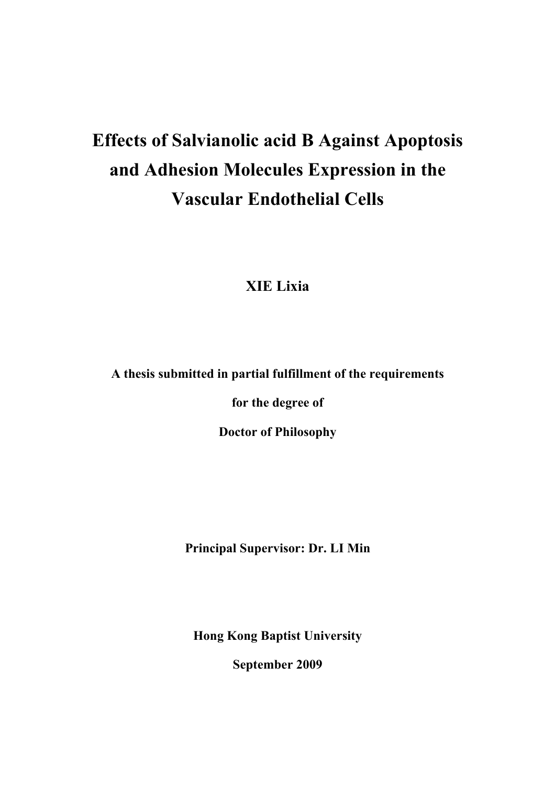# **Effects of Salvianolic acid B Against Apoptosis and Adhesion Molecules Expression in the Vascular Endothelial Cells**

# **XIE Lixia**

#### **A thesis submitted in partial fulfillment of the requirements**

**for the degree of** 

**Doctor of Philosophy** 

**Principal Supervisor: Dr. LI Min** 

**Hong Kong Baptist University** 

**September 2009**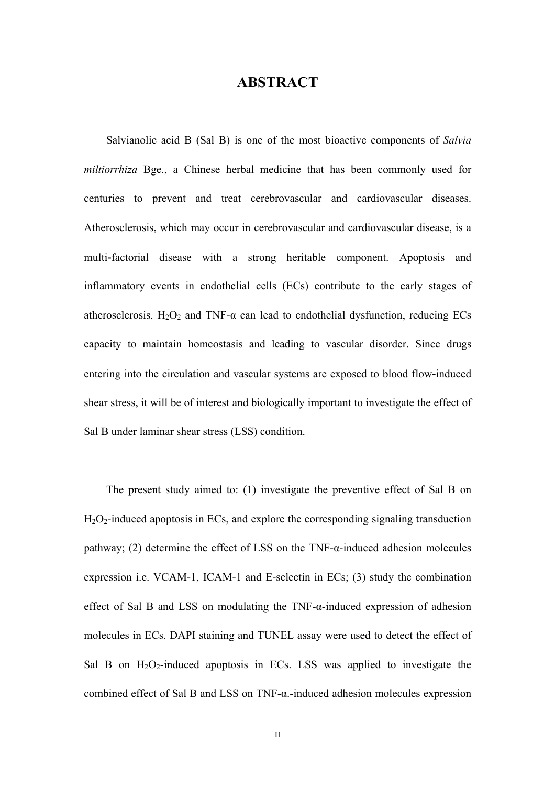## **ABSTRACT**

Salvianolic acid B (Sal B) is one of the most bioactive components of *Salvia miltiorrhiza* Bge., a Chinese herbal medicine that has been commonly used for centuries to prevent and treat cerebrovascular and cardiovascular diseases. Atherosclerosis, which may occur in cerebrovascular and cardiovascular disease, is a multi-factorial disease with a strong heritable component. Apoptosis and inflammatory events in endothelial cells (ECs) contribute to the early stages of atherosclerosis. H<sub>2</sub>O<sub>2</sub> and TNF- $\alpha$  can lead to endothelial dysfunction, reducing ECs capacity to maintain homeostasis and leading to vascular disorder. Since drugs entering into the circulation and vascular systems are exposed to blood flow‐induced shear stress, it will be of interest and biologically important to investigate the effect of Sal B under laminar shear stress (LSS) condition.

The present study aimed to: (1) investigate the preventive effect of Sal B on  $H_2O_2$ -induced apoptosis in ECs, and explore the corresponding signaling transduction pathway; (2) determine the effect of LSS on the TNF- $\alpha$ -induced adhesion molecules expression i.e. VCAM-1, ICAM-1 and E-selectin in ECs; (3) study the combination effect of Sal B and LSS on modulating the TNF-α-induced expression of adhesion molecules in ECs. DAPI staining and TUNEL assay were used to detect the effect of Sal B on  $H_2O_2$ -induced apoptosis in ECs. LSS was applied to investigate the combined effect of Sal B and LSS on TNF-α.-induced adhesion molecules expression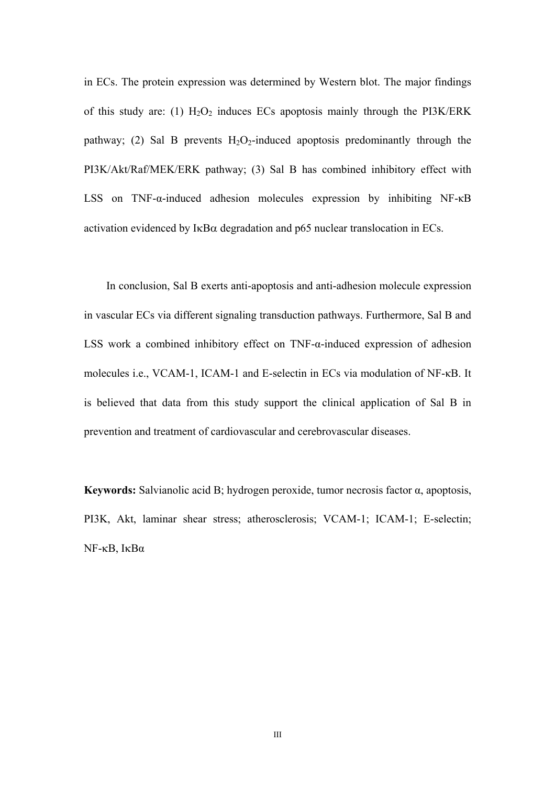in ECs. The protein expression was determined by Western blot. The major findings of this study are: (1)  $H_2O_2$  induces ECs apoptosis mainly through the PI3K/ERK pathway; (2) Sal B prevents  $H_2O_2$ -induced apoptosis predominantly through the PI3K/Akt/Raf/MEK/ERK pathway; (3) Sal B has combined inhibitory effect with LSS on TNF-α-induced adhesion molecules expression by inhibiting NF-κB activation evidenced by  $I \kappa B\alpha$  degradation and p65 nuclear translocation in ECs.

In conclusion, Sal B exerts anti-apoptosis and anti-adhesion molecule expression in vascular ECs via different signaling transduction pathways. Furthermore, Sal B and LSS work a combined inhibitory effect on TNF-α-induced expression of adhesion molecules i.e., VCAM-1, ICAM-1 and E-selectin in ECs via modulation of NF-κB. It is believed that data from this study support the clinical application of Sal B in prevention and treatment of cardiovascular and cerebrovascular diseases.

**Keywords:** Salvianolic acid B; hydrogen peroxide, tumor necrosis factor α, apoptosis, PI3K, Akt, laminar shear stress; atherosclerosis; VCAM-1; ICAM-1; E-selectin; NF-κB, IκBα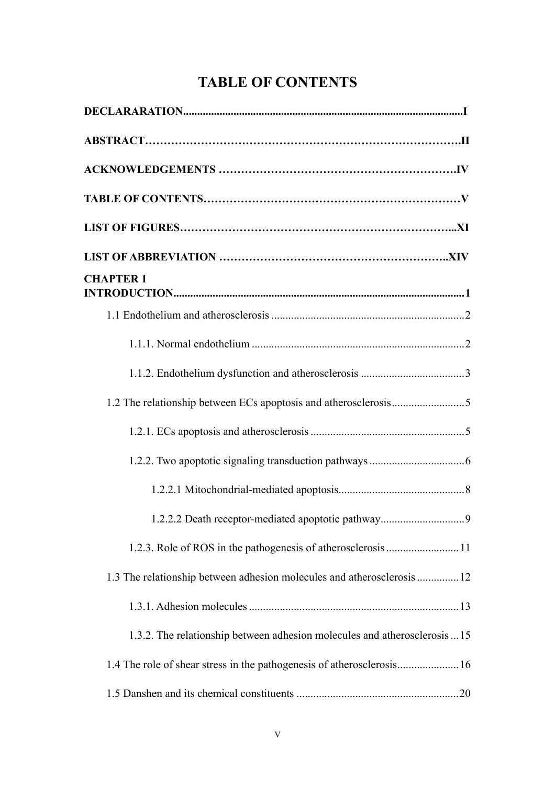# **TABLE OF CONTENTS**

| <b>CHAPTER 1</b>                                                          |
|---------------------------------------------------------------------------|
|                                                                           |
|                                                                           |
|                                                                           |
|                                                                           |
|                                                                           |
|                                                                           |
|                                                                           |
|                                                                           |
|                                                                           |
| 1.3 The relationship between adhesion molecules and atherosclerosis  12   |
|                                                                           |
| 1.3.2. The relationship between adhesion molecules and atherosclerosis 15 |
| 1.4 The role of shear stress in the pathogenesis of atherosclerosis 16    |
|                                                                           |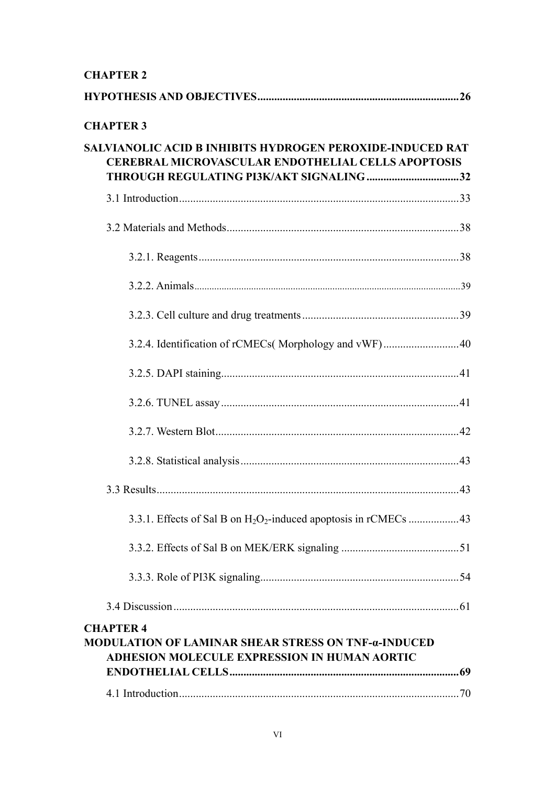#### **CHAPTER 2**

| <b>CHAPTER 3</b>                                                                                                                                                          |
|---------------------------------------------------------------------------------------------------------------------------------------------------------------------------|
| <b>SALVIANOLIC ACID B INHIBITS HYDROGEN PEROXIDE-INDUCED RAT</b><br><b>CEREBRAL MICROVASCULAR ENDOTHELIAL CELLS APOPTOSIS</b><br>THROUGH REGULATING PI3K/AKT SIGNALING 32 |
|                                                                                                                                                                           |
|                                                                                                                                                                           |
|                                                                                                                                                                           |
|                                                                                                                                                                           |
|                                                                                                                                                                           |
|                                                                                                                                                                           |
|                                                                                                                                                                           |
|                                                                                                                                                                           |
|                                                                                                                                                                           |
|                                                                                                                                                                           |
|                                                                                                                                                                           |
|                                                                                                                                                                           |
|                                                                                                                                                                           |
|                                                                                                                                                                           |
|                                                                                                                                                                           |
| <b>CHAPTER 4</b><br><b>MODULATION OF LAMINAR SHEAR STRESS ON TNF-a-INDUCED</b><br><b>ADHESION MOLECULE EXPRESSION IN HUMAN AORTIC</b>                                     |
|                                                                                                                                                                           |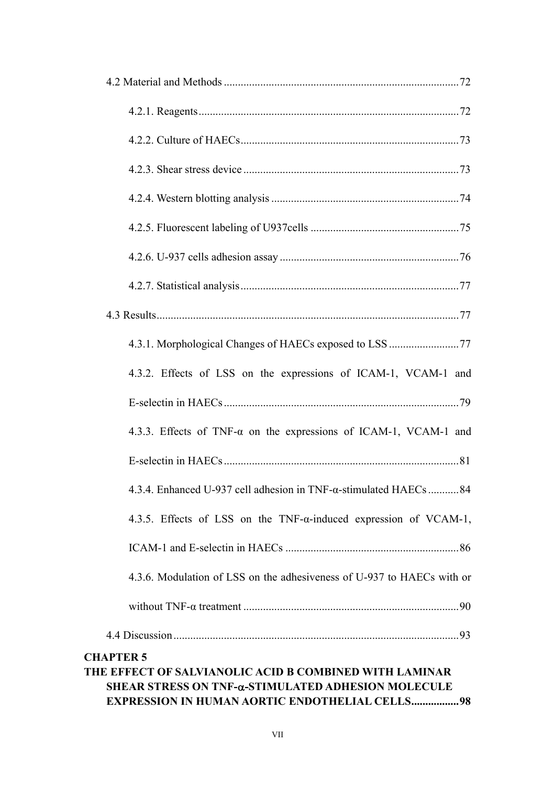| 4.3.2. Effects of LSS on the expressions of ICAM-1, VCAM-1 and                                                                                                                             |
|--------------------------------------------------------------------------------------------------------------------------------------------------------------------------------------------|
|                                                                                                                                                                                            |
| 4.3.3. Effects of TNF- $\alpha$ on the expressions of ICAM-1, VCAM-1 and                                                                                                                   |
|                                                                                                                                                                                            |
| 4.3.4. Enhanced U-937 cell adhesion in TNF-α-stimulated HAECs 84                                                                                                                           |
| 4.3.5. Effects of LSS on the TNF- $\alpha$ -induced expression of VCAM-1,                                                                                                                  |
|                                                                                                                                                                                            |
| 4.3.6. Modulation of LSS on the adhesiveness of U-937 to HAECs with or                                                                                                                     |
|                                                                                                                                                                                            |
|                                                                                                                                                                                            |
| <b>CHAPTER 5</b><br>THE EFFECT OF SALVIANOLIC ACID B COMBINED WITH LAMINAR<br>SHEAR STRESS ON TNF-&-STIMULATED ADHESION MOLECULE<br><b>EXPRESSION IN HUMAN AORTIC ENDOTHELIAL CELLS 98</b> |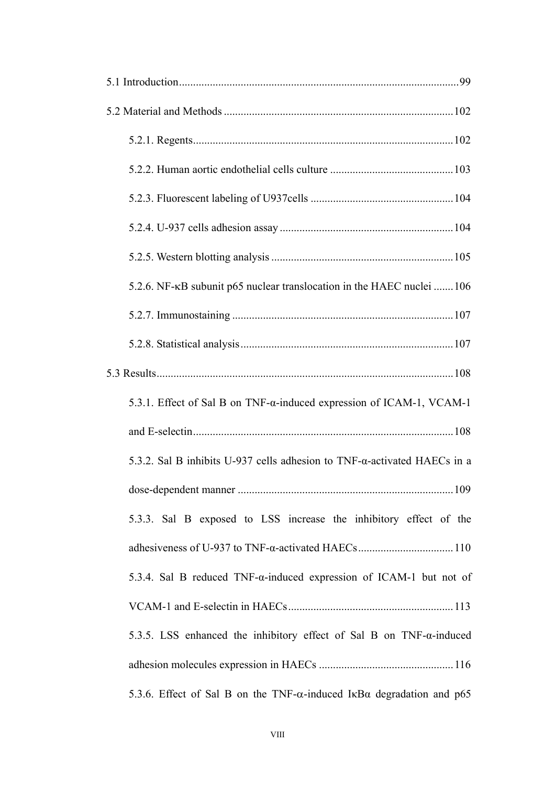| 5.2.6. NF-κB subunit p65 nuclear translocation in the HAEC nuclei 106                 |
|---------------------------------------------------------------------------------------|
|                                                                                       |
|                                                                                       |
|                                                                                       |
| 5.3.1. Effect of Sal B on TNF-α-induced expression of ICAM-1, VCAM-1                  |
|                                                                                       |
| 5.3.2. Sal B inhibits U-937 cells adhesion to TNF- $\alpha$ -activated HAECs in a     |
| .109                                                                                  |
| 5.3.3. Sal B exposed to LSS increase the inhibitory effect of the                     |
|                                                                                       |
| 5.3.4. Sal B reduced TNF-a-induced expression of ICAM-1 but not of                    |
|                                                                                       |
| 5.3.5. LSS enhanced the inhibitory effect of Sal B on $TNF$ - $\alpha$ -induced       |
|                                                                                       |
| 5.3.6. Effect of Sal B on the TNF- $\alpha$ -induced IkB $\alpha$ degradation and p65 |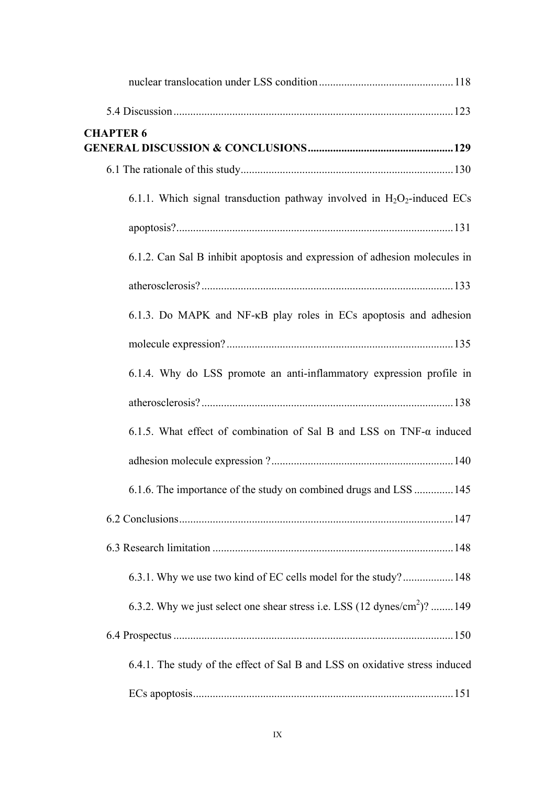| <b>CHAPTER 6</b>                                                                      |
|---------------------------------------------------------------------------------------|
|                                                                                       |
|                                                                                       |
| 6.1.1. Which signal transduction pathway involved in $H_2O_2$ -induced ECs            |
|                                                                                       |
| 6.1.2. Can Sal B inhibit apoptosis and expression of adhesion molecules in            |
|                                                                                       |
| 6.1.3. Do MAPK and NF-KB play roles in ECs apoptosis and adhesion                     |
|                                                                                       |
| 6.1.4. Why do LSS promote an anti-inflammatory expression profile in                  |
|                                                                                       |
| 6.1.5. What effect of combination of Sal B and LSS on TNF- $\alpha$ induced           |
|                                                                                       |
| 6.1.6. The importance of the study on combined drugs and LSS  145                     |
|                                                                                       |
|                                                                                       |
| 6.3.1. Why we use two kind of EC cells model for the study?148                        |
| 6.3.2. Why we just select one shear stress i.e. LSS (12 dynes/cm <sup>2</sup> )?  149 |
|                                                                                       |
| 6.4.1. The study of the effect of Sal B and LSS on oxidative stress induced           |
|                                                                                       |